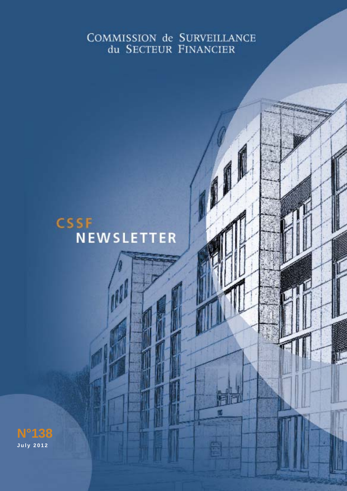# COMMISSION de SURVEILLANCE du SECTEUR FINANCIER

*CSSF Newsletter - July 2012 edition 1*

# **CSSF NEWSLETTER**

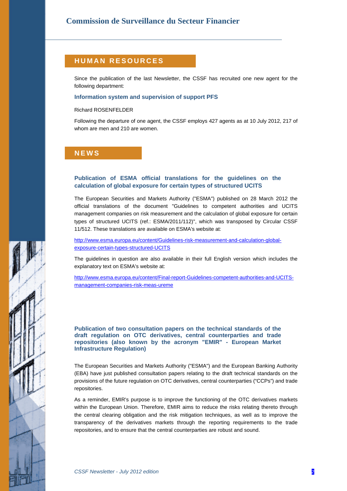### **HUMAN RESOURCES**

Since the publication of the last Newsletter, the CSSF has recruited one new agent for the following department:

#### **Information system and supervision of support PFS**

#### Richard ROSENFELDER

Following the departure of one agent, the CSSF employs 427 agents as at 10 July 2012, 217 of whom are men and 210 are women.

### **NEWS**

#### **Publication of ESMA official translations for the guidelines on the calculation of global exposure for certain types of structured UCITS**

The European Securities and Markets Authority ("ESMA") published on 28 March 2012 the official translations of the document "Guidelines to competent authorities and UCITS management companies on risk measurement and the calculation of global exposure for certain types of structured UCITS (ref.: ESMA/2011/112)", which was transposed by Circular CSSF 11/512. These translations are available on ESMA's website at:

[http://www.esma.europa.eu/content/Guidelines-risk-measurement-and-calculation-global](http://www.esma.europa.eu/content/Guidelines-risk-measurement-and-calculation-global-exposure-certain-types-structured-UCITS)[exposure-certain-types-structured-UCITS](http://www.esma.europa.eu/content/Guidelines-risk-measurement-and-calculation-global-exposure-certain-types-structured-UCITS)

The guidelines in question are also available in their full English version which includes the explanatory text on ESMA's website at:

[http://www.esma.europa.eu/content/Final-report-Guidelines-competent-authorities-and-UCITS](http://www.esma.europa.eu/content/Final-report-Guidelines-competent-authorities-and-UCITS-management-companies-risk-meas-ureme)[management-companies-risk-meas-ureme](http://www.esma.europa.eu/content/Final-report-Guidelines-competent-authorities-and-UCITS-management-companies-risk-meas-ureme) 

**Publication of two consultation papers on the technical standards of the draft regulation on OTC derivatives, central counterparties and trade repositories (also known by the acronym "EMIR" - European Market Infrastructure Regulation)** 

The European Securities and Markets Authority ("ESMA") and the European Banking Authority (EBA) have just published consultation papers relating to the draft technical standards on the provisions of the future regulation on OTC derivatives, central counterparties ("CCPs") and trade repositories.

As a reminder, EMIR's purpose is to improve the functioning of the OTC derivatives markets within the European Union. Therefore, EMIR aims to reduce the risks relating thereto through the central clearing obligation and the risk mitigation techniques, as well as to improve the transparency of the derivatives markets through the reporting requirements to the trade repositories, and to ensure that the central counterparties are robust and sound.

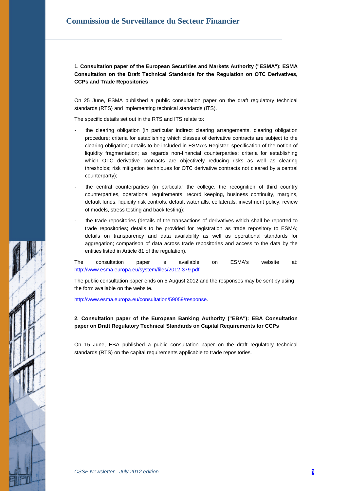**1. Consultation paper of the European Securities and Markets Authority ("ESMA"): ESMA Consultation on the Draft Technical Standards for the Regulation on OTC Derivatives, CCPs and Trade Repositories** 

On 25 June, ESMA published a public consultation paper on the draft regulatory technical standards (RTS) and implementing technical standards (ITS).

The specific details set out in the RTS and ITS relate to:

- the clearing obligation (in particular indirect clearing arrangements, clearing obligation procedure; criteria for establishing which classes of derivative contracts are subject to the clearing obligation; details to be included in ESMA's Register; specification of the notion of liquidity fragmentation; as regards non-financial counterparties: criteria for establishing which OTC derivative contracts are objectively reducing risks as well as clearing thresholds; risk mitigation techniques for OTC derivative contracts not cleared by a central counterparty);
- the central counterparties (in particular the college, the recognition of third country counterparties, operational requirements, record keeping, business continuity, margins, default funds, liquidity risk controls, default waterfalls, collaterals, investment policy, review of models, stress testing and back testing);
- the trade repositories (details of the transactions of derivatives which shall be reported to trade repositories; details to be provided for registration as trade repository to ESMA; details on transparency and data availability as well as operational standards for aggregation; comparison of data across trade repositories and access to the data by the entities listed in Article 81 of the regulation).

The consultation paper is available on ESMA's website at: <http://www.esma.europa.eu/system/files/2012-379.pdf>

The public consultation paper ends on 5 August 2012 and the responses may be sent by using the form available on the website.

<http://www.esma.europa.eu/consultation/59059/response>.

#### **2. Consultation paper of the European Banking Authority ("EBA"): EBA Consultation paper on Draft Regulatory Technical Standards on Capital Requirements for CCPs**

On 15 June, EBA published a public consultation paper on the draft regulatory technical standards (RTS) on the capital requirements applicable to trade repositories.

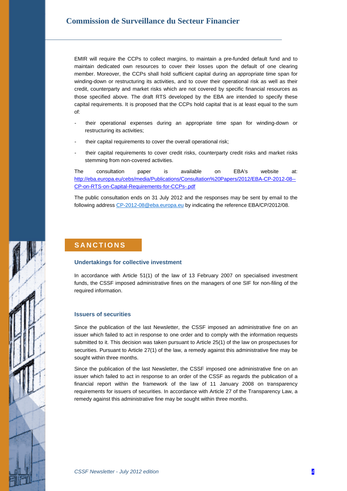EMIR will require the CCPs to collect margins, to maintain a pre-funded default fund and to maintain dedicated own resources to cover their losses upon the default of one clearing member. Moreover, the CCPs shall hold sufficient capital during an appropriate time span for winding-down or restructuring its activities, and to cover their operational risk as well as their credit, counterparty and market risks which are not covered by specific financial resources as those specified above. The draft RTS developed by the EBA are intended to specify these capital requirements. It is proposed that the CCPs hold capital that is at least equal to the sum of:

- their operational expenses during an appropriate time span for winding-down or restructuring its activities;
- their capital requirements to cover the overall operational risk;
- their capital requirements to cover credit risks, counterparty credit risks and market risks stemming from non-covered activities.

The consultation paper is available on EBA's website at: [http://eba.europa.eu/cebs/media/Publications/Consultation%20Papers/2012/EBA-CP-2012-08--](http://eba.europa.eu/cebs/media/Publications/Consultation%20Papers/2012/EBA-CP-2012-08--CP-on-RTS-on-Capital-Requirements-for-CCPs-.pdf) [CP-on-RTS-on-Capital-Requirements-for-CCPs-.pdf](http://eba.europa.eu/cebs/media/Publications/Consultation%20Papers/2012/EBA-CP-2012-08--CP-on-RTS-on-Capital-Requirements-for-CCPs-.pdf)

The public consultation ends on 31 July 2012 and the responses may be sent by email to the following address [CP-2012-08@eba.europa.eu](mailto:CP-2012-8@eba.europa.eu) by indicating the reference EBA/CP/2012/08.

### **SANCTIONS**

#### **Undertakings for collective investment**

In accordance with Article 51(1) of the law of 13 February 2007 on specialised investment funds, the CSSF imposed administrative fines on the managers of one SIF for non-filing of the required information.

#### **Issuers of securities**

Since the publication of the last Newsletter, the CSSF imposed an administrative fine on an issuer which failed to act in response to one order and to comply with the information requests submitted to it. This decision was taken pursuant to Article 25(1) of the law on prospectuses for securities. Pursuant to Article 27(1) of the law, a remedy against this administrative fine may be sought within three months.

Since the publication of the last Newsletter, the CSSF imposed one administrative fine on an issuer which failed to act in response to an order of the CSSF as regards the publication of a financial report within the framework of the law of 11 January 2008 on transparency requirements for issuers of securities. In accordance with Article 27 of the Transparency Law, a remedy against this administrative fine may be sought within three months.

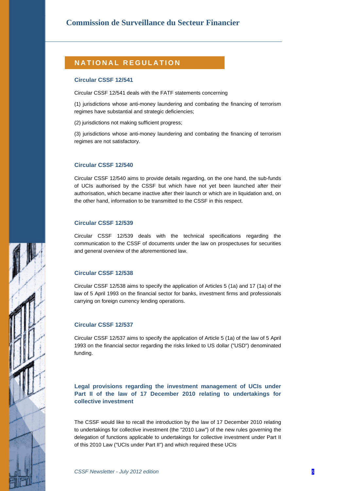### **NATIONAL REGULATION**

#### **Circular CSSF 12/541**

Circular CSSF 12/541 deals with the FATF statements concerning

(1) jurisdictions whose anti-money laundering and combating the financing of terrorism regimes have substantial and strategic deficiencies;

(2) jurisdictions not making sufficient progress;

(3) jurisdictions whose anti-money laundering and combating the financing of terrorism regimes are not satisfactory.

#### **Circular CSSF 12/540**

Circular CSSF 12/540 aims to provide details regarding, on the one hand, the sub-funds of UCIs authorised by the CSSF but which have not yet been launched after their authorisation, which became inactive after their launch or which are in liquidation and, on the other hand, information to be transmitted to the CSSF in this respect.

#### **Circular CSSF 12/539**

Circular CSSF 12/539 deals with the technical specifications regarding the communication to the CSSF of documents under the law on prospectuses for securities and general overview of the aforementioned law.

#### **Circular CSSF 12/538**

Circular CSSF 12/538 aims to specify the application of Articles 5 (1a) and 17 (1a) of the law of 5 April 1993 on the financial sector for banks, investment firms and professionals carrying on foreign currency lending operations.

#### **Circular CSSF 12/537**

Circular CSSF 12/537 aims to specify the application of Article 5 (1a) of the law of 5 April 1993 on the financial sector regarding the risks linked to US dollar ("USD") denominated funding.

**Legal provisions regarding the investment management of UCIs under Part II of the law of 17 December 2010 relating to undertakings for collective investment** 

The CSSF would like to recall the introduction by the law of 17 December 2010 relating to undertakings for collective investment (the "2010 Law") of the new rules governing the delegation of functions applicable to undertakings for collective investment under Part II of this 2010 Law ("UCIs under Part II") and which required these UCIs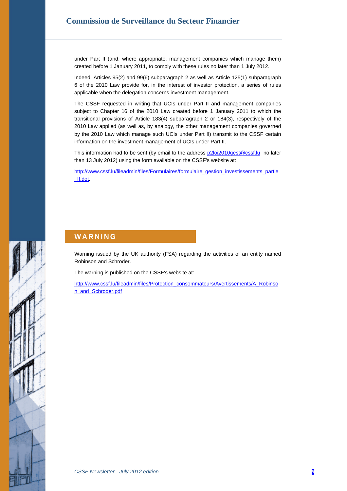under Part II (and, where appropriate, management companies which manage them) created before 1 January 2011, to comply with these rules no later than 1 July 2012.

Indeed, Articles 95(2) and 99(6) subparagraph 2 as well as Article 125(1) subparagraph 6 of the 2010 Law provide for, in the interest of investor protection, a series of rules applicable when the delegation concerns investment management.

The CSSF requested in writing that UCIs under Part II and management companies subject to Chapter 16 of the 2010 Law created before 1 January 2011 to which the transitional provisions of Article 183(4) subparagraph 2 or 184(3), respectively of the 2010 Law applied (as well as, by analogy, the other management companies governed by the 2010 Law which manage such UCIs under Part II) transmit to the CSSF certain information on the investment management of UCIs under Part II.

This information had to be sent (by email to the address [p2loi2010gest@cssf.lu](mailto:p2loi2010gest@cssf.lu) no later than 13 July 2012) using the form available on the CSSF's website at:

[http://www.cssf.lu/fileadmin/files/Formulaires/formulaire\\_gestion\\_investissements\\_partie](http://www.cssf.lu/fileadmin/files/Formulaires/formulaire_gestion_investissements_partie_II.dot) [\\_II.dot](http://www.cssf.lu/fileadmin/files/Formulaires/formulaire_gestion_investissements_partie_II.dot).

### **WARNING**

Warning issued by the UK authority (FSA) regarding the activities of an entity named Robinson and Schroder.

The warning is published on the CSSF's website at:

[http://www.cssf.lu/fileadmin/files/Protection\\_consommateurs/Avertissements/A\\_Robinso](http://www.cssf.lu/fileadmin/files/Protection_consommateurs/Avertissements/A_Robinson_and_Schroder.pdf) [n\\_and\\_Schroder.pdf](http://www.cssf.lu/fileadmin/files/Protection_consommateurs/Avertissements/A_Robinson_and_Schroder.pdf)

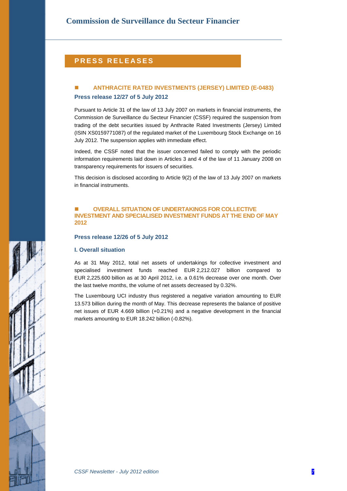### **PRESS RELEASES**

### **ANTHRACITE RATED INVESTMENTS (JERSEY) LIMITED (E-0483) Press release 12/27 of 5 July 2012**

Pursuant to Article 31 of the law of 13 July 2007 on markets in financial instruments, the Commission de Surveillance du Secteur Financier (CSSF) required the suspension from trading of the debt securities issued by Anthracite Rated Investments (Jersey) Limited (ISIN XS0159771087) of the regulated market of the Luxembourg Stock Exchange on 16 July 2012. The suspension applies with immediate effect.

Indeed, the CSSF noted that the issuer concerned failed to comply with the periodic information requirements laid down in Articles 3 and 4 of the law of 11 January 2008 on transparency requirements for issuers of securities.

This decision is disclosed according to Article 9(2) of the law of 13 July 2007 on markets in financial instruments.

#### **OVERALL SITUATION OF UNDERTAKINGS FOR COLLECTIVE INVESTMENT AND SPECIALISED INVESTMENT FUNDS AT THE END OF MAY 2012**

#### **Press release 12/26 of 5 July 2012**

#### **I. Overall situation**

As at 31 May 2012, total net assets of undertakings for collective investment and specialised investment funds reached EUR 2,212.027 billion compared to EUR 2,225.600 billion as at 30 April 2012, i.e. a 0.61% decrease over one month. Over the last twelve months, the volume of net assets decreased by 0.32%.

The Luxembourg UCI industry thus registered a negative variation amounting to EUR 13.573 billion during the month of May. This decrease represents the balance of positive net issues of EUR 4.669 billion (+0.21%) and a negative development in the financial markets amounting to EUR 18.242 billion (-0.82%).



*CSSF Newsletter - July 2012 edition 7*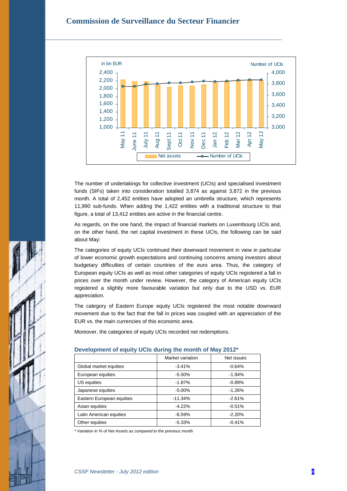

The number of undertakings for collective investment (UCIs) and specialised investment funds (SIFs) taken into consideration totalled 3,874 as against 3,872 in the previous month. A total of 2,452 entities have adopted an umbrella structure, which represents 11,990 sub-funds. When adding the 1,422 entities with a traditional structure to that figure, a total of 13,412 entities are active in the financial centre.

As regards, on the one hand, the impact of financial markets on Luxembourg UCIs and, on the other hand, the net capital investment in these UCIs, the following can be said about May:

The categories of equity UCIs continued their downward movement in view in particular of lower economic growth expectations and continuing concerns among investors about budgetary difficulties of certain countries of the euro area. Thus, the category of European equity UCIs as well as most other categories of equity UCIs registered a fall in prices over the month under review. However, the category of American equity UCIs registered a slightly more favourable variation but only due to the USD vs. EUR appreciation.

The category of Eastern Europe equity UCIs registered the most notable downward movement due to the fact that the fall in prices was coupled with an appreciation of the EUR vs. the main currencies of this economic area.

Moreover, the categories of equity UCIs recorded net redemptions.

|                           | Market variation | Net issues |  |  |
|---------------------------|------------------|------------|--|--|
| Global market equities    | $-3.41%$         | $-0.64%$   |  |  |
| European equities         | $-5.50\%$        | $-1.94%$   |  |  |
| US equities               | $-1.87%$         | $-0.89%$   |  |  |
| Japanese equities         | $-5.00%$         | $-1.26%$   |  |  |
| Eastern European equities | $-11.34%$        | $-2.61%$   |  |  |
| Asian equities            | $-4.22%$         | $-0.51%$   |  |  |
| Latin American equities   | $-6.59%$         | $-2.20%$   |  |  |
| Other equities            | $-5.33%$         | $-0.41%$   |  |  |

### **Development of equity UCIs during the month of May 2012\***

*\* Variation in % of Net Assets as compared to the previous month*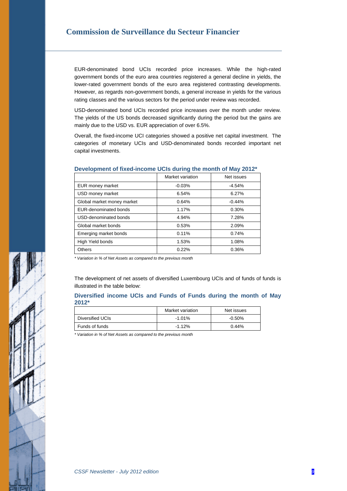EUR-denominated bond UCIs recorded price increases. While the high-rated government bonds of the euro area countries registered a general decline in yields, the lower-rated government bonds of the euro area registered contrasting developments. However, as regards non-government bonds, a general increase in yields for the various rating classes and the various sectors for the period under review was recorded.

USD-denominated bond UCIs recorded price increases over the month under review. The yields of the US bonds decreased significantly during the period but the gains are mainly due to the USD vs. EUR appreciation of over 6.5%.

Overall, the fixed-income UCI categories showed a positive net capital investment. The categories of monetary UCIs and USD-denominated bonds recorded important net capital investments.

|                            | Market variation | Net issues |
|----------------------------|------------------|------------|
| EUR money market           | $-0.03%$         | $-4.54%$   |
| USD money market           | 6.54%            | 6.27%      |
| Global market money market | 0.64%            | $-0.44%$   |
| EUR-denominated bonds      | 1.17%            | 0.30%      |
| USD-denominated bonds      | 4.94%            | 7.28%      |
| Global market bonds        | 0.53%            | 2.09%      |
| Emerging market bonds      | 0.11%            | 0.74%      |
| High Yield bonds           | 1.53%            | 1.08%      |
| Others                     | 0.22%            | 0.36%      |

#### **Development of fixed-income UCIs during the month of May 2012\***

*\* Variation in % of Net Assets as compared to the previous month* 

The development of net assets of diversified Luxembourg UCIs and of funds of funds is illustrated in the table below:

**Diversified income UCIs and Funds of Funds during the month of May 2012\*** 

|                  | Market variation | Net issues |
|------------------|------------------|------------|
| Diversified UCIs | $-1.01\%$        | $-0.50%$   |
| Funds of funds   | $-1.12%$         | 0.44%      |

*\* Variation in % of Net Assets as compared to the previous month* 

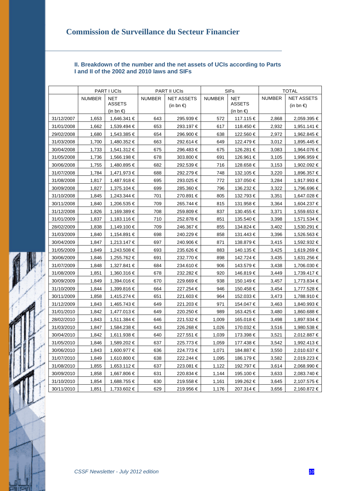### **II. Breakdown of the number and the net assets of UCIs according to Parts I and II of the 2002 and 2010 laws and SIFs**

|            | PART I UCIS   |                     | PART II UCIS  |                     | <b>SIFs</b>   |               | <b>TOTAL</b>  |                   |
|------------|---------------|---------------------|---------------|---------------------|---------------|---------------|---------------|-------------------|
|            | <b>NUMBER</b> | <b>NET</b>          | <b>NUMBER</b> | <b>NET ASSETS</b>   | <b>NUMBER</b> | <b>NET</b>    | <b>NUMBER</b> | <b>NET ASSETS</b> |
|            |               | <b>ASSETS</b>       |               | (in bn $\epsilon$ ) |               | <b>ASSETS</b> |               | (in bn €)         |
|            |               | (in bn $\epsilon$ ) |               |                     |               | (in bn €)     |               |                   |
| 31/12/2007 | 1,653         | 1,646.341 €         | 643           | 295.939 €           | 572           | 117.115 €     | 2,868         | 2,059.395 €       |
| 31/01/2008 | 1,662         | 1,539.494 €         | 653           | 293.197€            | 617           | 118.450€      | 2,932         | 1,951.141 €       |
| 29/02/2008 | 1,680         | 1,543.385 €         | 654           | 296.900 €           | 638           | 122.560 €     | 2,972         | 1,962.845 €       |
| 31/03/2008 | 1,700         | 1,480.352 €         | 663           | 292.614 €           | 649           | 122.479€      | 3,012         | 1,895.445 €       |
| 30/04/2008 | 1,733         | 1,541.312 €         | 675           | 296.483€            | 675           | 126.281 €     | 3,083         | 1,964.076 €       |
| 31/05/2008 | 1,736         | 1,566.198 €         | 678           | 303.800 €           | 691           | 126.961 €     | 3,105         | 1,996.959 €       |
| 30/06/2008 | 1,755         | 1,480.895 €         | 682           | 292.539 €           | 716           | 128.658 €     | 3,153         | 1,902.092 €       |
| 31/07/2008 | 1,784         | 1,471.973 €         | 688           | 292.279€            | 748           | 132.105 €     | 3,220         | 1,896.357 €       |
| 31/08/2008 | 1,817         | 1,487.918 €         | 695           | 293.025 €           | 772           | 137.050 €     | 3,284         | 1,917.993 €       |
| 30/09/2008 | 1,827         | 1,375.104 €         | 699           | 285.360 €           | 796           | 136.232 €     | 3,322         | 1,796.696 €       |
| 31/10/2008 | 1,845         | 1,243.344 €         | 701           | 270.891 €           | 805           | 132.793 €     | 3,351         | 1,647.028 €       |
| 30/11/2008 | 1,840         | 1,206.535 €         | 709           | 265.744 €           | 815           | 131.958 €     | 3,364         | 1,604.237 €       |
| 31/12/2008 | 1,826         | 1,169.389 €         | 708           | 259.809 €           | 837           | 130.455 €     | 3,371         | 1,559.653 €       |
| 31/01/2009 | 1,837         | 1,183.116 €         | 710           | 252.878€            | 851           | 135.540 €     | 3,398         | 1,571.534 €       |
| 28/02/2009 | 1,838         | 1,149.100 €         | 709           | 246.367 €           | 855           | 134.824 €     | 3,402         | 1,530.291 €       |
| 31/03/2009 | 1,840         | 1,154.891 €         | 698           | 240.229€            | 858           | 131.443 €     | 3,396         | 1,526.563 €       |
| 30/04/2009 | 1,847         | 1,213.147 €         | 697           | 240.906 €           | 871           | 138.879 €     | 3,415         | 1,592.932 €       |
| 31/05/2009 | 1,849         | 1.243.508 €         | 693           | 235.626€            | 883           | 140.135 €     | 3,425         | 1,619.269 €       |
| 30/06/2009 | 1,846         | 1,255.762 €         | 691           | 232.770 €           | 898           | 142.724 €     | 3,435         | 1,631.256 €       |
| 31/07/2009 | 1,848         | 1,327.841 €         | 684           | 234.610 €           | 906           | 143.579 €     | 3,438         | 1,706.030 €       |
| 31/08/2009 | 1,851         | 1,360.316 €         | 678           | 232.282 €           | 920           | 146.819€      | 3,449         | 1,739.417 €       |
| 30/09/2009 | 1,849         | 1,394.016 €         | 670           | 229.669€            | 938           | 150.149 €     | 3,457         | 1,773.834 €       |
| 31/10/2009 | 1,844         | 1,399.816 €         | 664           | 227.254 €           | 946           | 150.458 €     | 3,454         | 1,777.528 €       |
| 30/11/2009 | 1,858         | 1,415.274 €         | 651           | 221.603€            | 964           | 152.033 €     | 3,473         | 1,788.910 €       |
| 31/12/2009 | 1,843         | 1,465.743 €         | 649           | 221.203 €           | 971           | 154.047 €     | 3,463         | 1,840.993 €       |
| 31/01/2010 | 1,842         | 1,477.013 €         | 649           | 220.250€            | 989           | 163.425 €     | 3,480         | 1,860.688 €       |
| 28/02/2010 | 1,843         | 1,511.384 €         | 646           | 221.532 €           | 1,009         | 165.018 €     | 3,498         | 1,897.934 €       |
| 31/03/2010 | 1,847         | 1,584.238 €         | 643           | 226.268€            | 1,026         | 170.032 €     | 3,516         | 1,980.538 €       |
| 30/04/2010 | 1,842         | 1,611.938 €         | 640           | 227.551 €           | 1,039         | 173.398 €     | 3,521         | 2,012.887 €       |
| 31/05/2010 | 1,846         | 1,589.202 €         | 637           | 225.773€            | 1,059         | 177.438 €     | 3,542         | 1,992.413 €       |
| 30/06/2010 | 1,843         | 1,600.977 €         | 636           | 224.773 €           | 1,071         | 184.887 €     | 3,550         | 2,010.637 €       |
| 31/07/2010 | 1,849         | 1,610.800 €         | 638           | 222.244 €           | 1,095         | 186.179€      | 3,582         | 2,019.223 €       |
| 31/08/2010 | 1,855         | 1,653.112 €         | 637           | 223.081 €           | 1,122         | 192.797 €     | 3,614         | 2,068.990 €       |
| 30/09/2010 | 1,858         | 1,667.806 €         | 631           | 220.834 €           | 1,144         | 195.100 €     | 3,633         | 2,083.740 €       |
| 31/10/2010 | 1,854         | 1,688.755 €         | 630           | 219.558€            | 1,161         | 199.262 €     | 3,645         | 2,107.575 €       |
| 30/11/2010 | 1,851         | 1,733.602 €         | 629           | 219.956 €           | 1,176         | 207.314 €     | 3,656         | 2,160.872 €       |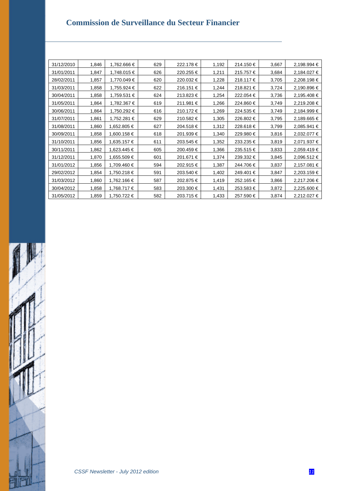| 31/12/2010 | 1,846 | 1,762.666 € | 629 | 222.178 € | 1,192 | 214.150€  | 3,667 | 2,198.994 € |
|------------|-------|-------------|-----|-----------|-------|-----------|-------|-------------|
| 31/01/2011 | 1,847 | 1,748.015 € | 626 | 220.255 € | 1,211 | 215.757€  | 3,684 | 2,184.027 € |
| 28/02/2011 | 1,857 | 1,770.049 € | 620 | 220.032 € | 1,228 | 218.117 € | 3,705 | 2,208.198€  |
| 31/03/2011 | 1,858 | 1,755.924 € | 622 | 216.151 € | 1,244 | 218.821 € | 3,724 | 2,190.896 € |
| 30/04/2011 | 1,858 | 1,759.531 € | 624 | 213.823 € | 1,254 | 222.054€  | 3,736 | 2,195.408 € |
| 31/05/2011 | 1,864 | 1,782.367 € | 619 | 211.981 € | 1,266 | 224.860 € | 3,749 | 2,219.208 € |
| 30/06/2011 | 1,864 | 1,750.292 € | 616 | 210.172 € | 1,269 | 224.535 € | 3,749 | 2,184.999 € |
| 31/07/2011 | 1,861 | 1,752.281 € | 629 | 210.582 € | 1,305 | 226.802€  | 3,795 | 2,189.665 € |
| 31/08/2011 | 1,860 | 1,652.805 € | 627 | 204.518 € | 1,312 | 228.618€  | 3,799 | 2,085.941 € |
| 30/09/2011 | 1,858 | 1,600.158 € | 618 | 201.939 € | 1,340 | 229.980 € | 3,816 | 2,032.077 € |
| 31/10/2011 | 1,856 | 1,635.157 € | 611 | 203.545 € | 1,352 | 233.235 € | 3,819 | 2,071.937 € |
| 30/11/2011 | 1,862 | 1,623.445 € | 605 | 200.459€  | 1,366 | 235.515 € | 3,833 | 2,059.419 € |
| 31/12/2011 | 1,870 | 1,655.509 € | 601 | 201.671 € | 1,374 | 239.332 € | 3,845 | 2,096.512 € |
| 31/01/2012 | 1,856 | 1,709.460 € | 594 | 202.915 € | 1,387 | 244.706 € | 3,837 | 2,157.081 € |
| 29/02/2012 | 1,854 | 1,750.218 € | 591 | 203.540 € | 1,402 | 249.401 € | 3,847 | 2,203.159 € |
| 31/03/2012 | 1,860 | 1,762.166 € | 587 | 202.875 € | 1,419 | 252.165 € | 3,866 | 2,217.206 € |
| 30/04/2012 | 1,858 | 1,768.717 € | 583 | 203.300 € | 1,431 | 253.583 € | 3,872 | 2,225.600 € |
| 31/05/2012 | 1,859 | 1,750.722 € | 582 | 203.715 € | 1,433 | 257.590 € | 3,874 | 2,212.027 € |

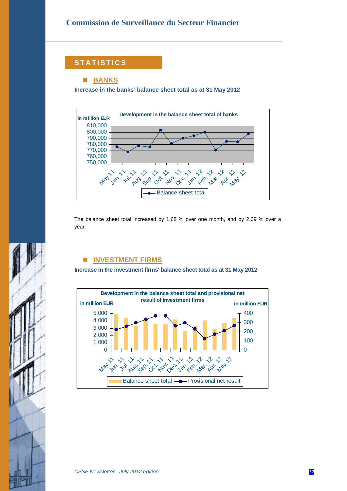### **STATISTICS**

### **BANKS**

**Increase in the banks' balance sheet total as at 31 May 2012** 



The balance sheet total increased by 1.68 % over one month, and by 2.69 % over a year.

### **INVESTMENT FIRMS**

**Increase in the investment firms' balance sheet total as at 31 May 2012** 

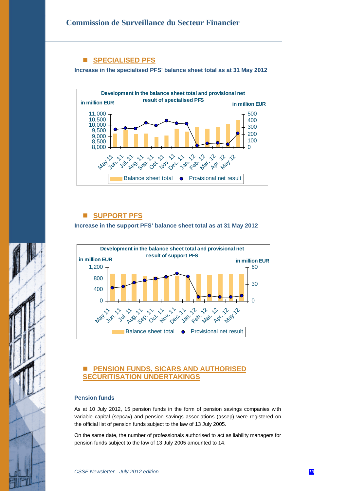### ■ **SPECIALISED PFS**

**Increase in the specialised PFS' balance sheet total as at 31 May 2012** 



### **SUPPORT PFS**

**Increase in the support PFS' balance sheet total as at 31 May 2012** 



### **PENSION FUNDS, SICARS AND AUTHORISED SECURITISATION UNDERTAKINGS**

#### **Pension funds**

As at 10 July 2012, 15 pension funds in the form of pension savings companies with variable capital (sepcav) and pension savings associations (assep) were registered on the official list of pension funds subject to the law of 13 July 2005.

On the same date, the number of professionals authorised to act as liability managers for pension funds subject to the law of 13 July 2005 amounted to 14.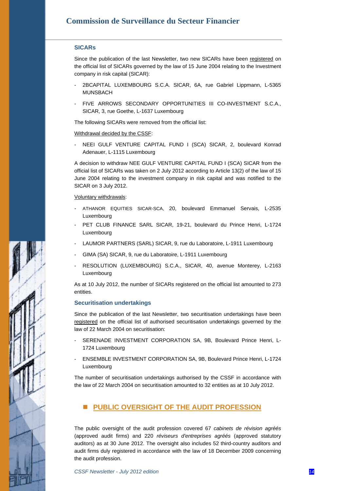#### **SICARs**

Since the publication of the last Newsletter, two new SICARs have been registered on the official list of SICARs governed by the law of 15 June 2004 relating to the Investment company in risk capital (SICAR):

- 2BCAPITAL LUXEMBOURG S.C.A. SICAR, 6A, rue Gabriel Lippmann, L-5365 MUNSBACH
- FIVE ARROWS SECONDARY OPPORTUNITIES III CO-INVESTMENT S.C.A., SICAR, 3, rue Goethe, L-1637 Luxembourg

The following SICARs were removed from the official list:

#### Withdrawal decided by the CSSF:

NEEI GULF VENTURE CAPITAL FUND I (SCA) SICAR, 2, boulevard Konrad Adenauer, L-1115 Luxembourg

A decision to withdraw NEE GULF VENTURE CAPITAL FUND I (SCA) SICAR from the official list of SICARs was taken on 2 July 2012 according to Article 13(2) of the law of 15 June 2004 relating to the investment company in risk capital and was notified to the SICAR on 3 July 2012.

#### Voluntary withdrawals:

- ATHANOR EQUITIES SICAR-SCA, 20, boulevard Emmanuel Servais, L-2535 Luxembourg
- PET CLUB FINANCE SARL SICAR, 19-21, boulevard du Prince Henri, L-1724 Luxembourg
- LAUMOR PARTNERS (SARL) SICAR, 9, rue du Laboratoire, L-1911 Luxembourg
- GIMA (SA) SICAR, 9, rue du Laboratoire, L-1911 Luxembourg
- RESOLUTION (LUXEMBOURG) S.C.A., SICAR, 40, avenue Monterey, L-2163 Luxembourg

As at 10 July 2012, the number of SICARs registered on the official list amounted to 273 entities.

#### **Securitisation undertakings**

Since the publication of the last Newsletter, two securitisation undertakings have been registered on the official list of authorised securitisation undertakings governed by the law of 22 March 2004 on securitisation:

- SERENADE INVESTMENT CORPORATION SA, 9B, Boulevard Prince Henri, L-1724 Luxembourg
- ENSEMBLE INVESTMENT CORPORATION SA, 9B, Boulevard Prince Henri, L-1724 Luxembourg

The number of securitisation undertakings authorised by the CSSF in accordance with the law of 22 March 2004 on securitisation amounted to 32 entities as at 10 July 2012.

### **PUBLIC OVERSIGHT OF THE AUDIT PROFESSION**

The public oversight of the audit profession covered 67 *cabinets de révision agréés* (approved audit firms) and 220 *réviseurs d'entreprises agréés* (approved statutory auditors) as at 30 June 2012. The oversight also includes 52 third-country auditors and audit firms duly registered in accordance with the law of 18 December 2009 concerning the audit profession.

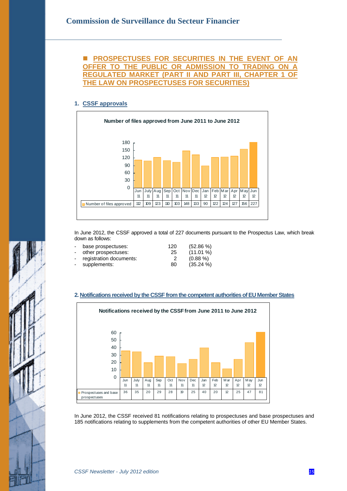### **PROSPECTUSES FOR SECURITIES IN THE EVENT OF AN OFFER TO THE PUBLIC OR ADMISSION TO TRADING ON A REGULATED MARKET (PART II AND PART III, CHAPTER 1 OF THE LAW ON PROSPECTUSES FOR SECURITIES)**

### **1. CSSF approvals**



In June 2012, the CSSF approved a total of 227 documents pursuant to the Prospectus Law, which break down as follows:

| ÷.                       | base prospectuses:        | 120 | $(52.86\%)$ |
|--------------------------|---------------------------|-----|-------------|
| $\overline{\phantom{0}}$ | other prospectuses:       | 25  | $(11.01\%)$ |
|                          | - registration documents: |     | $(0.88\%)$  |
| $\blacksquare$           | supplements:              | 80  | $(35.24\%)$ |
|                          |                           |     |             |

#### **2. Notifications received by the CSSF from the competent authorities of EU Member States**



In June 2012, the CSSF received 81 notifications relating to prospectuses and base prospectuses and 185 notifications relating to supplements from the competent authorities of other EU Member States.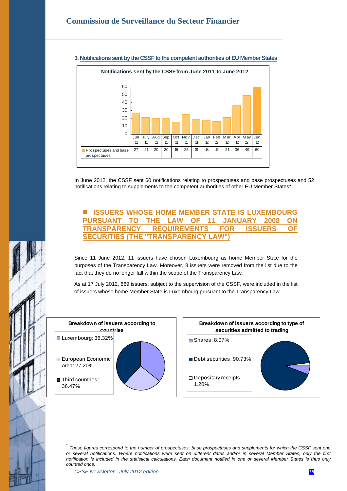

#### **3. Notifications sent by the CSSF to the competent authorities of EU Member States**

In June 2012, the CSSF sent 60 notifications relating to prospectuses and base prospectuses and 52 notifications relating to supplements to the competent authorities of other EU Member States[\\*.](#page-15-0) 

### **ISSUERS WHOSE HOME MEMBER STATE IS LUXEMBOURG PURSUANT TO THE LAW OF 11 JANUARY 2008 ON TRANSPARENCY REQUIREMENTS FOR ISSUERS OF SECURITIES (THE "TRANSPARENCY LAW")**

Since 11 June 2012, 11 issuers have chosen Luxembourg as home Member State for the purposes of the Transparency Law. Moreover, 8 issuers were removed from the list due to the fact that they do no longer fall within the scope of the Transparency Law.

As at 17 July 2012, 669 issuers, subject to the supervision of the CSSF, were included in the list of issuers whose home Member State is Luxembourg pursuant to the Transparency Law.



<span id="page-15-0"></span> $\overline{a}$ 

<sup>\*</sup> *These figures correspond to the number of prospectuses, base prospectuses and supplements for which the CSSF sent one or several notifications. Where notifications were sent on different dates and/or in several Member States, only the first notification is included in the statistical calculations. Each document notified in one or several Member States is thus only counted once.*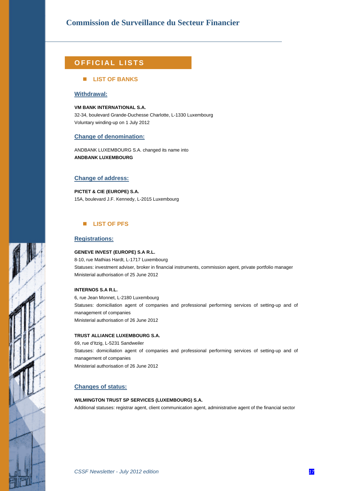### **OFFICIAL LISTS**

#### **LIST OF BANKS**

#### **Withdrawal:**

**VM BANK INTERNATIONAL S.A.**  32-34, boulevard Grande-Duchesse Charlotte, L-1330 Luxembourg Voluntary winding-up on 1 July 2012

#### **Change of denomination:**

ANDBANK LUXEMBOURG S.A. changed its name into **ANDBANK LUXEMBOURG** 

#### **Change of address:**

**PICTET & CIE (EUROPE) S.A.**  15A, boulevard J.F. Kennedy, L-2015 Luxembourg

#### **LIST OF PFS**

#### **Registrations:**

#### **GENEVE INVEST (EUROPE) S.A R.L.**

8-10, rue Mathias Hardt, L-1717 Luxembourg Statuses: investment adviser, broker in financial instruments, commission agent, private portfolio manager Ministerial authorisation of 25 June 2012

#### **INTERNOS S.A R.L.**

6, rue Jean Monnet, L-2180 Luxembourg Statuses: domiciliation agent of companies and professional performing services of setting-up and of management of companies Ministerial authorisation of 26 June 2012

#### **TRUST ALLIANCE LUXEMBOURG S.A.**

69, rue d'Itzig, L-5231 Sandweiler Statuses: domiciliation agent of companies and professional performing services of setting-up and of management of companies Ministerial authorisation of 26 June 2012

#### **Changes of status:**

### **WILMINGTON TRUST SP SERVICES (LUXEMBOURG) S.A.**  Additional statuses: registrar agent, client communication agent, administrative agent of the financial sector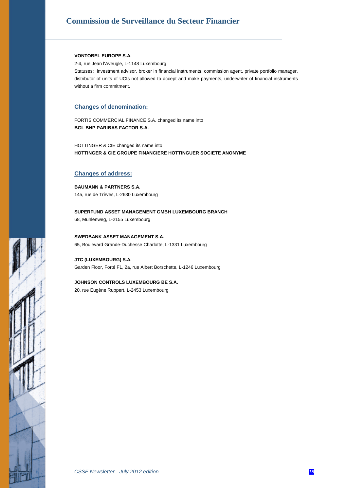#### **VONTOBEL EUROPE S.A.**

2-4, rue Jean l'Aveugle, L-1148 Luxembourg

Statuses: investment advisor, broker in financial instruments, commission agent, private portfolio manager, distributor of units of UCIs not allowed to accept and make payments, underwriter of financial instruments without a firm commitment.

#### **Changes of denomination:**

FORTIS COMMERCIAL FINANCE S.A. changed its name into **BGL BNP PARIBAS FACTOR S.A.** 

HOTTINGER & CIE changed its name into **HOTTINGER & CIE GROUPE FINANCIERE HOTTINGUER SOCIETE ANONYME** 

#### **Changes of address:**

**BAUMANN & PARTNERS S.A.**  145, rue de Trèves, L-2630 Luxembourg

**SUPERFUND ASSET MANAGEMENT GMBH LUXEMBOURG BRANCH**  68, Mühlenweg, L-2155 Luxembourg

**SWEDBANK ASSET MANAGEMENT S.A.**  65, Boulevard Grande-Duchesse Charlotte, L-1331 Luxembourg

**JTC (LUXEMBOURG) S.A.**  Garden Floor, Forté F1, 2a, rue Albert Borschette, L-1246 Luxembourg

**JOHNSON CONTROLS LUXEMBOURG BE S.A.** 

20, rue Eugène Ruppert, L-2453 Luxembourg

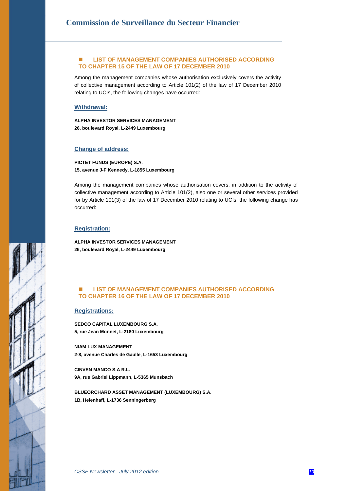#### **LIST OF MANAGEMENT COMPANIES AUTHORISED ACCORDING TO CHAPTER 15 OF THE LAW OF 17 DECEMBER 2010**

Among the management companies whose authorisation exclusively covers the activity of collective management according to Article 101(2) of the law of 17 December 2010 relating to UCIs, the following changes have occurred:

#### **Withdrawal:**

**ALPHA INVESTOR SERVICES MANAGEMENT 26, boulevard Royal, L-2449 Luxembourg** 

#### **Change of address:**

**PICTET FUNDS (EUROPE) S.A. 15, avenue J-F Kennedy, L-1855 Luxembourg** 

Among the management companies whose authorisation covers, in addition to the activity of collective management according to Article 101(2), also one or several other services provided for by Article 101(3) of the law of 17 December 2010 relating to UCIs, the following change has occurred:

#### **Registration:**

**ALPHA INVESTOR SERVICES MANAGEMENT 26, boulevard Royal, L-2449 Luxembourg** 

#### **LIST OF MANAGEMENT COMPANIES AUTHORISED ACCORDING TO CHAPTER 16 OF THE LAW OF 17 DECEMBER 2010**

#### **Registrations:**

**SEDCO CAPITAL LUXEMBOURG S.A. 5, rue Jean Monnet, L-2180 Luxembourg** 

**NIAM LUX MANAGEMENT 2-8, avenue Charles de Gaulle, L-1653 Luxembourg** 

**CINVEN MANCO S.A R.L. 9A, rue Gabriel Lippmann, L-5365 Munsbach** 

**BLUEORCHARD ASSET MANAGEMENT (LUXEMBOURG) S.A. 1B, Heienhaff, L-1736 Senningerberg** 

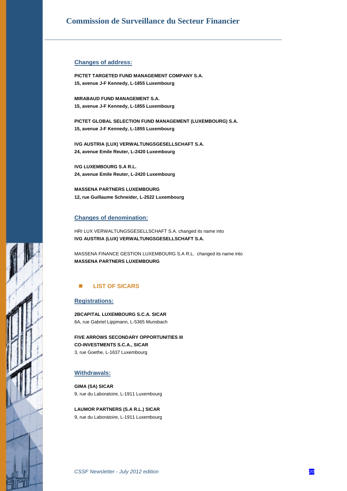#### **Changes of address:**

**PICTET TARGETED FUND MANAGEMENT COMPANY S.A. 15, avenue J-F Kennedy, L-1855 Luxembourg** 

**MIRABAUD FUND MANAGEMENT S.A. 15, avenue J-F Kennedy, L-1855 Luxembourg** 

**PICTET GLOBAL SELECTION FUND MANAGEMENT (LUXEMBOURG) S.A. 15, avenue J-F Kennedy, L-1855 Luxembourg** 

**IVG AUSTRIA (LUX) VERWALTUNGSGESELLSCHAFT S.A. 24, avenue Emile Reuter, L-2420 Luxembourg** 

**IVG LUXEMBOURG S.A R.L. 24, avenue Emile Reuter, L-2420 Luxembourg** 

**MASSENA PARTNERS LUXEMBOURG 12, rue Guillaume Schneider, L-2522 Luxembourg** 

#### **Changes of denomination:**

HRI LUX VERWALTUNGSGESELLSCHAFT S.A. changed its name into **IVG AUSTRIA (LUX) VERWALTUNGSGESELLSCHAFT S.A.** 

MASSENA FINANCE GESTION LUXEMBOURG S.A R.L. changed its name into **MASSENA PARTNERS LUXEMBOURG** 

### **LIST OF SICARS**

#### **Registrations:**

**2BCAPITAL LUXEMBOURG S.C.A. SICAR**  6A, rue Gabriel Lippmann, L-5365 Munsbach

**FIVE ARROWS SECONDARY OPPORTUNITIES III CO-INVESTMENTS S.C.A., SICAR**  3, rue Goethe, L-1637 Luxembourg

#### **Withdrawals:**

**GIMA (SA) SICAR**  9, rue du Laboratoire, L-1911 Luxembourg

**LAUMOR PARTNERS (S.A R.L.) SICAR**  9, rue du Laboratoire, L-1911 Luxembourg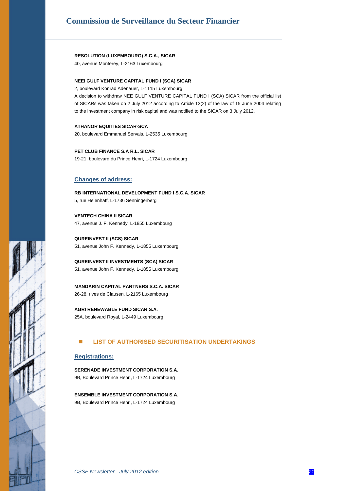#### **RESOLUTION (LUXEMBOURG) S.C.A., SICAR**

40, avenue Monterey, L-2163 Luxembourg

#### **NEEI GULF VENTURE CAPITAL FUND I (SCA) SICAR**

2, boulevard Konrad Adenauer, L-1115 Luxembourg

A decision to withdraw NEE GULF VENTURE CAPITAL FUND I (SCA) SICAR from the official list of SICARs was taken on 2 July 2012 according to Article 13(2) of the law of 15 June 2004 relating to the investment company in risk capital and was notified to the SICAR on 3 July 2012.

### **ATHANOR EQUITIES SICAR-SCA**

20, boulevard Emmanuel Servais, L-2535 Luxembourg

**PET CLUB FINANCE S.A R.L. SICAR**  19-21, boulevard du Prince Henri, L-1724 Luxembourg

#### **Changes of address:**

**RB INTERNATIONAL DEVELOPMENT FUND I S.C.A. SICAR**  5, rue Heienhaff, L-1736 Senningerberg

**VENTECH CHINA II SICAR**  47, avenue J. F. Kennedy, L-1855 Luxembourg

**QUREINVEST II (SCS) SICAR**  51, avenue John F. Kennedy, L-1855 Luxembourg

**QUREINVEST II INVESTMENTS (SCA) SICAR**  51, avenue John F. Kennedy, L-1855 Luxembourg

**MANDARIN CAPITAL PARTNERS S.C.A. SICAR**  26-28, rives de Clausen, L-2165 Luxembourg

**AGRI RENEWABLE FUND SICAR S.A.**  25A, boulevard Royal, L-2449 Luxembourg

#### **LIST OF AUTHORISED SECURITISATION UNDERTAKINGS**

#### **Registrations:**

**SERENADE INVESTMENT CORPORATION S.A.**  9B, Boulevard Prince Henri, L-1724 Luxembourg

**ENSEMBLE INVESTMENT CORPORATION S.A.**  9B, Boulevard Prince Henri, L-1724 Luxembourg

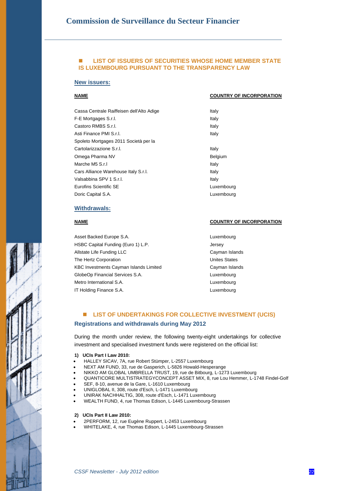#### **LIST OF ISSUERS OF SECURITIES WHOSE HOME MEMBER STATE IS LUXEMBOURG PURSUANT TO THE TRANSPARENCY LAW**

#### **New issuers:**

#### **NAME COUNTRY OF INCORPORATION**

| Cassa Centrale Raiffeisen dell'Alto Adige | Italy      |
|-------------------------------------------|------------|
| F-E Mortgages S.r.l.                      | Italy      |
| Castoro RMBS S.r.I.                       | Italy      |
| Asti Finance PMI S.r.I.                   | Italy      |
| Spoleto Mortgages 2011 Società per la     |            |
| Cartolarizzazione S.r.l.                  | Italy      |
| Omega Pharma NV                           | Belgium    |
| Marche M5 S.r.I                           | Italy      |
| Cars Alliance Warehouse Italy S.r.l.      | Italy      |
| Valsabbina SPV 1 S.r.l.                   | Italy      |
| Eurofins Scientific SE                    | Luxembourg |
| Doric Capital S.A.                        | Luxembourg |

| Italy      |
|------------|
| Italy      |
|            |
| Italy      |
| Belgium    |
| Italy      |
| Italy      |
| Italy      |
| Luxembourg |
| Luxembouro |

#### **Withdrawals:**

Asset Backed Europe S.A. **Luxembourg** HSBC Capital Funding (Euro 1) L.P. **Same Contact Capital** Funding (Euro 1) L.P. Allstate Life Funding LLC **Cayman Islands** The Hertz Corporation **National Contract Contract Contract Contract Contract Contract Contract Contract Contract Contract Contract Contract Contract Contract Contract Contract Contract Contract Contract Contract Contract C** KBC Investments Cayman Islands Limited Cayman Islands GlobeOp Financial Services S.A. Luxembourg Metro International S.A. **Luxembourg** IT Holding Finance S.A. Luxembourg

#### **NAME COUNTRY OF INCORPORATION**

### **LIST OF UNDERTAKINGS FOR COLLECTIVE INVESTMENT (UCIS) Registrations and withdrawals during May 2012**

During the month under review, the following twenty-eight undertakings for collective investment and specialised investment funds were registered on the official list:

- **1) UCIs Part I Law 2010:**
- HALLEY SICAV, 7A, rue Robert Stümper, L-2557 Luxembourg
- NEXT AM FUND, 33, rue de Gasperich, L-5826 Howald-Hesperange
- NIKKO AM GLOBAL UMBRELLA TRUST, 19, rue de Bitbourg, L-1273 Luxembourg
- QUANTICORE MULTISTRATEGYCONCEPT ASSET MIX, 8, rue Lou Hemmer, L-1748 Findel-Golf
- SEF, 8-10, avenue de la Gare, L-1610 Luxembourg
- UNIGLOBAL II, 308, route d'Esch, L-1471 Luxembourg
- UNIRAK NACHHALTIG, 308, route d'Esch, L-1471 Luxembourg
- WEALTH FUND, 4, rue Thomas Edison, L-1445 Luxembourg-Strassen

#### **2) UCIs Part II Law 2010:**

- 2PERFORM, 12, rue Eugène Ruppert, L-2453 Luxembourg
- WHITELAKE, 4, rue Thomas Edison, L-1445 Luxembourg-Strassen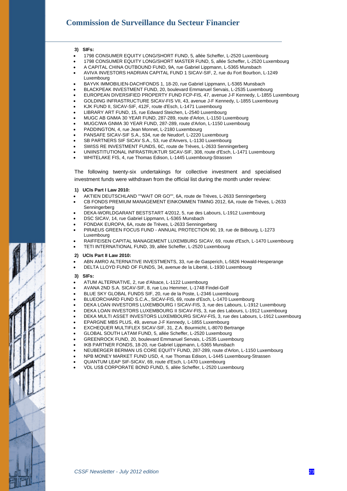#### **3) SIFs:**

- 1798 CONSUMER EQUITY LONG/SHORT FUND, 5, allée Scheffer, L-2520 Luxembourg
- 1798 CONSUMER EQUITY LONG/SHORT MASTER FUND, 5, allée Scheffer, L-2520 Luxembourg
- A CAPITAL CHINA OUTBOUND FUND, 9A, rue Gabriel Lippmann, L-5365 Munsbach
- AVIVA INVESTORS HADRIAN CAPITAL FUND 1 SICAV-SIF, 2, rue du Fort Bourbon, L-1249 Luxembourg
- BAYVK IMMOBILIEN-DACHFONDS 1, 18-20, rue Gabriel Lippmann, L-5365 Munsbach
- BLACKPEAK INVESTMENT FUND, 20, boulevard Emmanuel Servais, L-2535 Luxembourg
- EUROPEAN DIVERSIFIED PROPERTY FUND FCP-FIS, 47, avenue J-F Kennedy, L-1855 Luxembourg
- GOLDING INFRASTRUCTURE SICAV-FIS VII, 43, avenue J-F Kennedy, L-1855 Luxembourg
- KJK FUND II, SICAV-SIF, 412F, route d'Esch, L-1471 Luxembourg
- LIBRARY ART FUND, 15, rue Edward Steichen, L-2540 Luxembourg
- MUGC AB GNMA 30 YEAR FUND, 287-289, route d'Arlon, L-1150 Luxembourg
- MUGC/WA GNMA 30 YEAR FUND, 287-289, route d'Arlon, L-1150 Luxembourg
- PADDINGTON, 4, rue Jean Monnet, L-2180 Luxembourg
- PANSAFE SICAV-SIF S.A., 534, rue de Neudorf, L-2220 Luxembourg
- SB PARTNERS SIF SICAV S.A., 53, rue d'Anvers, L-1130 Luxembourg
- SWISS RE INVESTMENT FUNDS, 6C, route de Trèves, L-2633 Senningerberg
- UNIINSTITUTIONAL INFRASTRUKTUR SICAV-SIF, 308, route d'Esch, L-1471 Luxembourg
- WHITELAKE FIS, 4, rue Thomas Edison, L-1445 Luxembourg-Strassen

The following twenty-six undertakings for collective investment and specialised investment funds were withdrawn from the official list during the month under review:

- **1) UCIs Part I Law 2010:**
- AKTIEN DEUTSCHLAND ""WAIT OR GO"", 6A, route de Trèves, L-2633 Senningerberg
- CB FONDS PREMIUM MANAGEMENT EINKOMMEN TIMING 2012, 6A, route de Trèves, L-2633 Senningerberg
- DEKA-WORLDGARANT BESTSTART 4/2012, 5, rue des Labours, L-1912 Luxembourg
- DSC SICAV, 14, rue Gabriel Lippmann, L-5365 Munsbach
- FONDAK EUROPA, 6A, route de Trèves, L-2633 Senningerberg
- PIRAEUS GREEN FOCUS FUND ANNUAL PROTECTION 90, 19, rue de Bitbourg, L-1273 Luxembourg
- RAIFFEISEN CAPITAL MANAGEMENT LUXEMBURG SICAV, 69, route d'Esch, L-1470 Luxembourg
- TETI INTERNATIONAL FUND, 39, allée Scheffer, L-2520 Luxembourg

#### **2) UCIs Part II Law 2010:**

- ABN AMRO ALTERNATIVE INVESTMENTS, 33, rue de Gasperich, L-5826 Howald-Hesperange
- DELTA LLOYD FUND OF FUNDS, 34, avenue de la Liberté, L-1930 Luxembourg

#### **3) SIFs:**

- ATUM ALTERNATIVE, 2, rue d'Alsace, L-1122 Luxembourg
- AVANA 2ND S.A. SICAV-SIF, 8, rue Lou Hemmer, L-1748 Findel-Golf
- BLUE SKY GLOBAL FUNDS SIF, 20, rue de la Poste, L-2346 Luxembourg
- BLUEORCHARD FUND S.C.A., SICAV-FIS, 69, route d'Esch, L-1470 Luxembourg
- DEKA LOAN INVESTORS LUXEMBOURG I SICAV-FIS, 3, rue des Labours, L-1912 Luxembourg
- DEKA LOAN INVESTORS LUXEMBOURG II SICAV-FIS, 3, rue des Labours, L-1912 Luxembourg
- DEKA MULTI ASSET INVESTORS LUXEMBOURG SICAV-FIS, 3, rue des Labours, L-1912 Luxembourg
- EPARGNE MBS PLUS, 49, avenue J-F Kennedy, L-1855 Luxembourg
- EXCHEQUER MULTIFLEX SICAV-SIF, 31, Z.A. Bourmicht, L-8070 Bertrange
- GLOBAL SOUTH LATAM FUND, 5, allée Scheffer, L-2520 Luxembourg
- GREENROCK FUND, 20, boulevard Emmanuel Servais, L-2535 Luxembourg
- IKB PARTNER FONDS, 18-20, rue Gabriel Lippmann, L-5365 Munsbach
- NEUBERGER BERMAN US CORE EQUITY FUND, 287-289, route d'Arlon, L-1150 Luxembourg
- NPB MONEY MARKET FUND USD, 4, rue Thomas Edison, L-1445 Luxembourg-Strassen
- QUANTUM LEAP SIF-SICAV, 69, route d'Esch, L-1470 Luxembourg
- VDL US\$ CORPORATE BOND FUND, 5, allée Scheffer, L-2520 Luxembourg